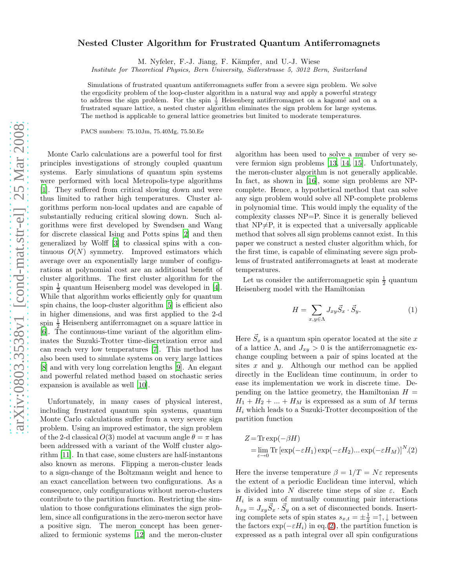## Nested Cluster Algorithm for Frustrated Quantum Antiferromagnets

M. Nyfeler, F.-J. Jiang, F. Kämpfer, and U.-J. Wiese

Institute for Theoretical Physics, Bern University, Sidlerstrasse 5, 3012 Bern, Switzerland

Simulations of frustrated quantum antiferromagnets suffer from a severe sign problem. We solve the ergodicity problem of the loop-cluster algorithm in a natural way and apply a powerful strategy to address the sign problem. For the spin  $\frac{1}{2}$  Heisenberg antiferromagnet on a kagomé and on a frustrated square lattice, a nested cluster algorithm eliminates the sign problem for large systems. The method is applicable to general lattice geometries but limited to moderate temperatures.

PACS numbers: 75.10Jm, 75.40Mg, 75.50.Ee

Monte Carlo calculations are a powerful tool for first principles investigations of strongly coupled quantum systems. Early simulations of quantum spin systems were performed with local Metropolis-type algorithms [\[1\]](#page-3-0). They suffered from critical slowing down and were thus limited to rather high temperatures. Cluster algorithms perform non-local updates and are capable of substantially reducing critical slowing down. Such algorithms were first developed by Swendsen and Wang for discrete classical Ising and Potts spins [\[2\]](#page-3-1) and then generalized by Wolff [\[3](#page-3-2)] to classical spins with a continuous  $O(N)$  symmetry. Improved estimators which average over an exponentially large number of configurations at polynomial cost are an additional benefit of cluster algorithms. The first cluster algorithm for the spin  $\frac{1}{2}$  quantum Heisenberg model was developed in [\[4\]](#page-3-3). While that algorithm works efficiently only for quantum spin chains, the loop-cluster algorithm [\[5\]](#page-3-4) is efficient also in higher dimensions, and was first applied to the 2-d spin  $\frac{1}{2}$  Heisenberg antiferromagnet on a square lattice in [\[6\]](#page-3-5). The continuous-time variant of the algorithm eliminates the Suzuki-Trotter time-discretization error and can reach very low temperatures [\[7](#page-3-6)]. This method has also been used to simulate systems on very large lattices [\[8\]](#page-3-7) and with very long correlation lengths [\[9\]](#page-3-8). An elegant and powerful related method based on stochastic series expansion is available as well [\[10\]](#page-3-9).

Unfortunately, in many cases of physical interest, including frustrated quantum spin systems, quantum Monte Carlo calculations suffer from a very severe sign problem. Using an improved estimator, the sign problem of the 2-d classical  $O(3)$  model at vacuum angle  $\theta = \pi$  has been addressed with a variant of the Wolff cluster algorithm [\[11\]](#page-3-10). In that case, some clusters are half-instantons also known as merons. Flipping a meron-cluster leads to a sign-change of the Boltzmann weight and hence to an exact cancellation between two configurations. As a consequence, only configurations without meron-clusters contribute to the partition function. Restricting the simulation to those configurations eliminates the sign problem, since all configurations in the zero-meron sector have a positive sign. The meron concept has been generalized to fermionic systems [\[12](#page-3-11)] and the meron-cluster

algorithm has been used to solve a number of very severe fermion sign problems [\[13](#page-3-12), [14](#page-3-13), [15\]](#page-3-14). Unfortunately, the meron-cluster algorithm is not generally applicable. In fact, as shown in [\[16\]](#page-3-15), some sign problems are NPcomplete. Hence, a hypothetical method that can solve any sign problem would solve all NP-complete problems in polynomial time. This would imply the equality of the complexity classes NP=P. Since it is generally believed that  $NP\neq P$ , it is expected that a universally applicable method that solves all sign problems cannot exist. In this paper we construct a nested cluster algorithm which, for the first time, is capable of eliminating severe sign problems of frustrated antiferromagnets at least at moderate temperatures.

Let us consider the antiferromagnetic spin  $\frac{1}{2}$  quantum Heisenberg model with the Hamiltonian

$$
H = \sum_{x,y \in \Lambda} J_{xy} \vec{S}_x \cdot \vec{S}_y.
$$
 (1)

Here  $\vec{S}_x$  is a quantum spin operator located at the site x of a lattice  $\Lambda$ , and  $J_{xy} > 0$  is the antiferromagnetic exchange coupling between a pair of spins located at the sites x and y. Although our method can be applied directly in the Euclidean time continuum, in order to ease its implementation we work in discrete time. Depending on the lattice geometry, the Hamiltonian  $H =$  $H_1 + H_2 + \ldots + H_M$  is expressed as a sum of M terms  $H_i$  which leads to a Suzuki-Trotter decomposition of the partition function

<span id="page-0-0"></span>
$$
Z = \text{Tr} \exp(-\beta H)
$$
  
=  $\lim_{\varepsilon \to 0} \text{Tr} \left[ \exp(-\varepsilon H_1) \exp(-\varepsilon H_2) \dots \exp(-\varepsilon H_M) \right]^N$ . (2)

Here the inverse temperature  $\beta = 1/T = N \varepsilon$  represents the extent of a periodic Euclidean time interval, which is divided into N discrete time steps of size  $\varepsilon$ . Each  $H_i$  is a sum of mutually commuting pair interactions  $h_{xy} = J_{xy}\vec{S}_x \cdot \vec{S}_y$  on a set of disconnected bonds. Inserting complete sets of spin states  $s_{x,t} = \pm \frac{1}{2} = \uparrow, \downarrow$  between the factors  $\exp(-\varepsilon H_i)$  in eq.[\(2\)](#page-0-0), the partition function is expressed as a path integral over all spin configurations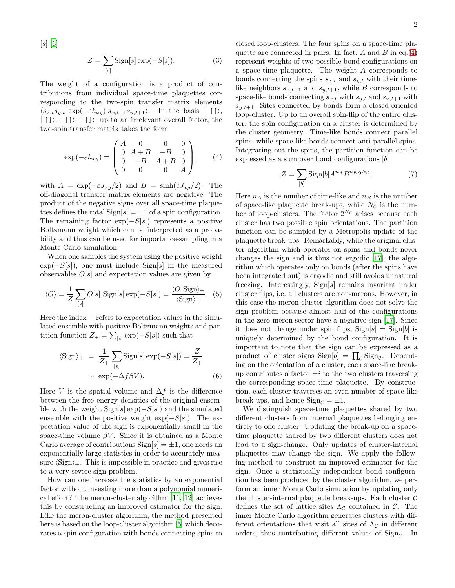[s] [\[6](#page-3-5)]

$$
Z = \sum_{[s]} \text{Sign}[s] \exp(-S[s]). \tag{3}
$$

The weight of a configuration is a product of contributions from individual space-time plaquettes corresponding to the two-spin transfer matrix elements  $\langle s_{x,t} s_{y,t} | \exp(-\varepsilon h_{xy}) | s_{x,t+1} s_{y,t+1} \rangle$ . In the basis  $| \uparrow \uparrow \rangle$ ,  $|\uparrow \downarrow \rangle, |\downarrow \uparrow \rangle, |\downarrow \downarrow \rangle$ , up to an irrelevant overall factor, the two-spin transfer matrix takes the form

<span id="page-1-0"></span>
$$
\exp(-\varepsilon h_{xy}) = \begin{pmatrix} A & 0 & 0 & 0 \\ 0 & A+B & -B & 0 \\ 0 & -B & A+B & 0 \\ 0 & 0 & 0 & A \end{pmatrix}, \qquad (4)
$$

with  $A = \exp(-\varepsilon J_{xy}/2)$  and  $B = \sinh(\varepsilon J_{xy}/2)$ . The off-diagonal transfer matrix elements are negative. The product of the negative signs over all space-time plaquettes defines the total  $Sign[s] = \pm 1$  of a spin configuration. The remaining factor  $exp(-S[s])$  represents a positive Boltzmann weight which can be interpreted as a probability and thus can be used for importance-sampling in a Monte Carlo simulation.

When one samples the system using the positive weight  $exp(-S[s])$ , one must include Sign[s] in the measured observables  $O[s]$  and expectation values are given by

$$
\langle O \rangle = \frac{1}{Z} \sum_{[s]} O[s] \text{ Sign}[s] \exp(-S[s]) = \frac{\langle O \text{ Sign} \rangle_+}{\langle \text{Sign} \rangle_+}. (5)
$$

Here the index  $+$  refers to expectation values in the simulated ensemble with positive Boltzmann weights and partition function  $Z_+ = \sum_{[s]} \exp(-S[s])$  such that

$$
\langle \text{Sign}\rangle_{+} = \frac{1}{Z_{+}} \sum_{[s]} \text{Sign}[s] \exp(-S[s]) = \frac{Z}{Z_{+}}
$$
  
 
$$
\sim \exp(-\Delta f \beta V). \tag{6}
$$

Here V is the spatial volume and  $\Delta f$  is the difference between the free energy densities of the original ensemble with the weight  $Sign[s] exp(-S[s])$  and the simulated ensemble with the positive weight  $\exp(-S[s])$ . The expectation value of the sign is exponentially small in the space-time volume  $\beta V$ . Since it is obtained as a Monte Carlo average of contributions  $\text{Sign}[s] = \pm 1$ , one needs an exponentially large statistics in order to accurately measure  $\langle$ Sign $\rangle_+$ . This is impossible in practice and gives rise to a very severe sign problem.

How can one increase the statistics by an exponential factor without investing more than a polynomial numerical effort? The meron-cluster algorithm [\[11](#page-3-10), [12](#page-3-11)] achieves this by constructing an improved estimator for the sign. Like the meron-cluster algorithm, the method presented here is based on the loop-cluster algorithm [\[5\]](#page-3-4) which decorates a spin configuration with bonds connecting spins to closed loop-clusters. The four spins on a space-time plaquette are connected in pairs. In fact,  $A$  and  $B$  in eq.[\(4\)](#page-1-0) represent weights of two possible bond configurations on a space-time plaquette. The weight A corresponds to bonds connecting the spins  $s_{x,t}$  and  $s_{y,t}$  with their timelike neighbors  $s_{x,t+1}$  and  $s_{y,t+1}$ , while B corresponds to space-like bonds connecting  $s_{x,t}$  with  $s_{y,t}$  and  $s_{x,t+1}$  with  $s_{y,t+1}$ . Sites connected by bonds form a closed oriented loop-cluster. Up to an overall spin-flip of the entire cluster, the spin configuration on a cluster is determined by the cluster geometry. Time-like bonds connect parallel spins, while space-like bonds connect anti-parallel spins. Integrating out the spins, the partition function can be expressed as a sum over bond configurations [b]

$$
Z = \sum_{[b]} \text{Sign}[b] A^{n_A} B^{n_B} 2^{N_c}.
$$
 (7)

Here  $n_A$  is the number of time-like and  $n_B$  is the number of space-like plaquette break-ups, while  $N_c$  is the number of loop-clusters. The factor  $2^{N_c}$  arises because each cluster has two possible spin orientations. The partition function can be sampled by a Metropolis update of the plaquette break-ups. Remarkably, while the original cluster algorithm which operates on spins and bonds never changes the sign and is thus not ergodic [\[17\]](#page-3-16), the algorithm which operates only on bonds (after the spins have been integrated out) is ergodic and still avoids unnatural freezing. Interestingly, Sign[s] remains invariant under cluster flips, i.e. all clusters are non-merons. However, in this case the meron-cluster algorithm does not solve the sign problem because almost half of the configurations in the zero-meron sector have a negative sign [\[17\]](#page-3-16). Since it does not change under spin flips,  $Sign[s] = Sign[b]$  is uniquely determined by the bond configuration. It is important to note that the sign can be expressed as a product of cluster signs  $\text{Sign}[b] = \prod_{\mathcal{C}} \text{Sign}_{\mathcal{C}}$ . Depending on the orientation of a cluster, each space-like breakup contributes a factor  $\pm i$  to the two clusters traversing the corresponding space-time plaquette. By construction, each cluster traverses an even number of space-like break-ups, and hence  $\text{Sign}_{\mathcal{C}} = \pm 1$ .

We distinguish space-time plaquettes shared by two different clusters from internal plaquettes belonging entirely to one cluster. Updating the break-up on a spacetime plaquette shared by two different clusters does not lead to a sign-change. Only updates of cluster-internal plaquettes may change the sign. We apply the following method to construct an improved estimator for the sign. Once a statistically independent bond configuration has been produced by the cluster algorithm, we perform an inner Monte Carlo simulation by updating only the cluster-internal plaquette break-ups. Each cluster  $C$ defines the set of lattice sites  $\Lambda_{\mathcal{C}}$  contained in C. The inner Monte Carlo algorithm generates clusters with different orientations that visit all sites of  $\Lambda_{\mathcal{C}}$  in different orders, thus contributing different values of  $\text{Sign}_{\mathcal{C}}$ . In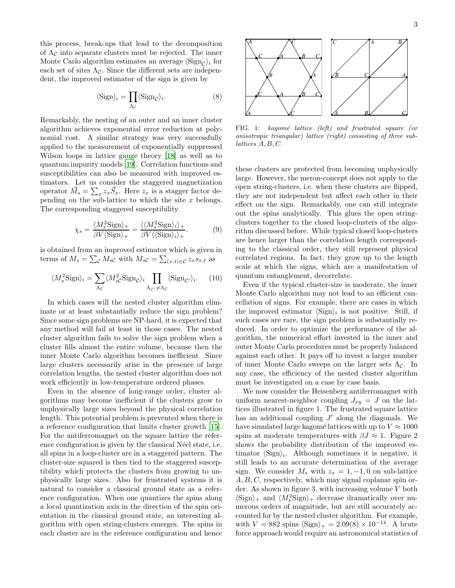this process, break-ups that lead to the decomposition of  $\Lambda_{\mathcal{C}}$  into separate clusters must be rejected. The inner Monte Carlo algorithm estimates an average  $\langle \text{Sign}_{\mathcal{C}} \rangle_i$  for each set of sites  $\Lambda_{\mathcal{C}}$ . Since the different sets are independent, the improved estimator of the sign is given by

$$
\langle \text{Sign}\rangle_i = \prod_{\Lambda_C} \langle \text{Sign}_C \rangle_i. \tag{8}
$$

Remarkably, the nesting of an outer and an inner cluster algorithm achieves exponential error reduction at polynomial cost. A similar strategy was very successfully applied to the measurement of exponentially suppressed Wilson loops in lattice gauge theory [\[18\]](#page-4-0) as well as to quantum impurity models [\[19](#page-4-1)]. Correlation functions and susceptibilities can also be measured with improved estimators. Let us consider the staggered magnetization operator  $\vec{M}_s = \sum_x z_x \vec{S}_x$ . Here  $z_x$  is a stagger factor depending on the sub-lattice to which the site  $x$  belongs. The corresponding staggered susceptibility

$$
\chi_s = \frac{\langle M_s^2 \text{Sign} \rangle_+}{\beta V \langle \text{Sign} \rangle_+} = \frac{\langle \langle M_s^2 \text{Sign} \rangle_i \rangle_+}{\beta V \langle \langle \text{Sign} \rangle_i \rangle_+}.\tag{9}
$$

is obtained from an improved estimator which is given in terms of  $M_s = \sum_{\mathcal{C}} M_{s\mathcal{C}}$  with  $M_{s\mathcal{C}} = \sum_{(x,t) \in \mathcal{C}} z_x s_{x,t}$  as

$$
\langle M_s^2 \text{Sign} \rangle_i = \sum_{\Lambda_c} \langle M_{s\mathcal{C}}^2 \text{Sign}_{\mathcal{C}} \rangle_i \prod_{\Lambda_{\mathcal{C}'} \neq \Lambda_{\mathcal{C}}} \langle \text{Sign}_{\mathcal{C}'} \rangle_i. \tag{10}
$$

In which cases will the nested cluster algorithm eliminate or at least substantially reduce the sign problem? Since some sign problems are NP-hard, it is expected that any method will fail at least in those cases. The nested cluster algorithm fails to solve the sign problem when a cluster fills almost the entire volume, because then the inner Monte Carlo algorithm becomes inefficient. Since large clusters necessarily arise in the presence of large correlation lengths, the nested cluster algorithm does not work efficiently in low-temperature ordered phases.

Even in the absence of long-range order, cluster algorithms may become inefficient if the clusters grow to unphysically large sizes beyond the physical correlation length. This potential problem is prevented when there is a reference configuration that limits cluster growth [\[15\]](#page-3-14). For the antiferromagnet on the square lattice the reference configuration is given by the classical Néel state, i.e. all spins in a loop-cluster are in a staggered pattern. The cluster-size squared is then tied to the staggered susceptibility which protects the clusters from growing to unphysically large sizes. Also for frustrated systems it is natural to consider a classical ground state as a reference configuration. When one quantizes the spins along a local quantization axis in the direction of the spin orientation in the classical ground state, an interesting algorithm with open string-clusters emerges. The spins in each cluster are in the reference configuration and hence



FIG. 1: kagomé lattice (left) and frustrated square (or anisotropic triangular) lattice (right) consisting of three sublattices  $A, B, C$ .

these clusters are protected from becoming unphysically large. However, the meron-concept does not apply to the open string-clusters, i.e. when these clusters are flipped, they are not independent but affect each other in their effect on the sign. Remarkably, one can still integrate out the spins analytically. This glues the open stringclusters together to the closed loop-clusters of the algorithm discussed before. While typical closed loop-clusters are hence larger than the correlation length corresponding to the classical order, they still represent physical correlated regions. In fact, they grow up to the length scale at which the signs, which are a manifestation of quantum entanglement, decorrelate.

Even if the typical cluster-size is moderate, the inner Monte Carlo algorithm may not lead to an efficient cancellation of signs. For example, there are cases in which the improved estimator  $\langle \text{Sign}\rangle_i$  is not positive. Still, if such cases are rare, the sign problem is substantially reduced. In order to optimize the performance of the algorithm, the numerical effort invested in the inner and outer Monte Carlo procedures must be properly balanced against each other. It pays off to invest a larger number of inner Monte Carlo sweeps on the larger sets  $\Lambda_c$ . In any case, the efficiency of the nested cluster algorithm must be investigated on a case by case basis.

We now consider the Heisenberg antiferromagnet with uniform nearest-neighbor coupling  $J_{xy} = J$  on the lattices illustrated in figure 1. The frustrated square lattice has an additional coupling  $J'$  along the diagonals. We have simulated large kagomé lattices with up to  $V \approx 1000$ spins at moderate temperatures with  $\beta J \approx 1$ . Figure 2 shows the probability distribution of the improved estimator  $\langle$ Sign $\rangle_i$ . Although sometimes it is negative, it still leads to an accurate determination of the average sign. We consider  $M_s$  with  $z_x = 1, -1, 0$  on sub-lattice A, B, C, respectively, which may signal coplanar spin order. As shown in figure 3, with increasing volume  $V$  both  $\langle$ Sign $\rangle$ <sub>+</sub> and  $\langle M_s^2$ Sign $\rangle$ <sub>+</sub> decrease dramatically over numerous orders of magnitude, but are still accurately accounted for by the nested cluster algorithm. For example, with  $V = 882$  spins  $\langle$ Sign $\rangle_+ = 2.09(8) \times 10^{-14}$ . A brute force approach would require an astronomical statistics of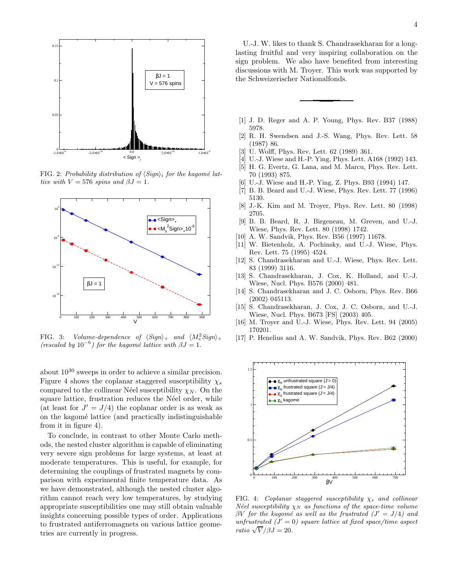

FIG. 2: Probability distribution of  $\langle Sign \rangle_i$  for the kagomé lattice with  $V = 576$  spins and  $\beta J = 1$ .



FIG. 3: Volume-dependence of  $\langle Sign \rangle_+$  and  $\langle M_s^2Sign \rangle_+$ (rescaled by  $10^{-6}$ ) for the kagomé lattice with  $\beta J = 1$ .

about  $10^{30}$  sweeps in order to achieve a similar precision. Figure 4 shows the coplanar staggered susceptibility  $\chi_s$ compared to the collinear Néel susceptibility  $\chi_N$ . On the square lattice, frustration reduces the Néel order, while (at least for  $J' = J/4$ ) the coplanar order is as weak as on the kagomé lattice (and practically indistinguishable from it in figure 4).

To conclude, in contrast to other Monte Carlo methods, the nested cluster algorithm is capable of eliminating very severe sign problems for large systems, at least at moderate temperatures. This is useful, for example, for determining the couplings of frustrated magnets by comparison with experimental finite temperature data. As we have demonstrated, although the nested cluster algorithm cannot reach very low temperatures, by studying appropriate susceptibilities one may still obtain valuable insights concerning possible types of order. Applications to frustrated antiferromagnets on various lattice geometries are currently in progress.

U.-J. W. likes to thank S. Chandrasekharan for a longlasting fruitful and very inspiring collaboration on the sign problem. We also have benefited from interesting discussions with M. Troyer. This work was supported by the Schweizerischer Nationalfonds.

- <span id="page-3-0"></span>[1] J. D. Reger and A. P. Young, Phys. Rev. B37 (1988) 5978.
- <span id="page-3-1"></span>[2] R. H. Swendsen and J.-S. Wang, Phys. Rev. Lett. 58 (1987) 86.
- <span id="page-3-2"></span>[3] U. Wolff, Phys. Rev. Lett. 62 (1989) 361.
- <span id="page-3-3"></span>[4] U.-J. Wiese and H.-P. Ying, Phys. Lett. A168 (1992) 143.
- <span id="page-3-4"></span>[5] H. G. Evertz, G. Lana, and M. Marcu, Phys. Rev. Lett. 70 (1993) 875.
- <span id="page-3-5"></span>[6] U.-J. Wiese and H.-P. Ying, Z. Phys. B93 (1994) 147.
- <span id="page-3-6"></span>[7] B. B. Beard and U.-J. Wiese, Phys. Rev. Lett. 77 (1996) 5130.
- <span id="page-3-7"></span>[8] J.-K. Kim and M. Troyer, Phys. Rev. Lett. 80 (1998) 2705.
- <span id="page-3-8"></span>[9] B. B. Beard, R. J. Birgeneau, M. Greven, and U.-J. Wiese, Phys. Rev. Lett. 80 (1998) 1742.
- <span id="page-3-9"></span>[10] A. W. Sandvik, Phys. Rev. B56 (1997) 11678.
- <span id="page-3-10"></span>[11] W. Bietenholz, A. Pochinsky, and U.-J. Wiese, Phys. Rev. Lett. 75 (1995) 4524.
- <span id="page-3-11"></span>[12] S. Chandrasekharan and U.-J. Wiese, Phys. Rev. Lett. 83 (1999) 3116.
- <span id="page-3-12"></span>[13] S. Chandrasekharan, J. Cox, K. Holland, and U.-J. Wiese, Nucl. Phys. B576 (2000) 481.
- <span id="page-3-13"></span>[14] S. Chandrasekharan and J. C. Osborn, Phys. Rev. B66 (2002) 045113.
- <span id="page-3-14"></span>[15] S. Chandrasekharan, J. Cox, J. C. Osborn, and U.-J. Wiese, Nucl. Phys. B673 [FS] (2003) 405.
- <span id="page-3-15"></span>[16] M. Troyer and U.-J. Wiese, Phys. Rev. Lett. 94 (2005) 170201.
- <span id="page-3-16"></span>[17] P. Henelius and A. W. Sandvik, Phys. Rev. B62 (2000)



FIG. 4: Coplanar staggered susceptibility  $\chi_s$  and collinear N'eel susceptibility  $\chi_N$  as functions of the space-time volume  $\beta V$  for the kagomé as well as the frustrated  $(J' = J/4)$  and unfrustrated  $(J' = 0)$  square lattice at fixed space/time aspect ratio  $\sqrt{V}/\beta J = 20$ .